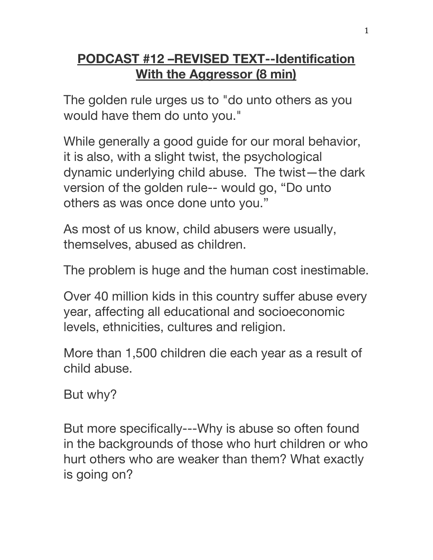## **PODCAST #12 –REVISED TEXT--Identification With the Aggressor (8 min)**

The golden rule urges us to "do unto others as you would have them do unto you."

While generally a good guide for our moral behavior, it is also, with a slight twist, the psychological dynamic underlying child abuse. The twist—the dark version of the golden rule-- would go, "Do unto others as was once done unto you."

As most of us know, child abusers were usually, themselves, abused as children.

The problem is huge and the human cost inestimable.

Over 40 million kids in this country suffer abuse every year, affecting all educational and socioeconomic levels, ethnicities, cultures and religion.

More than 1,500 children die each year as a result of child abuse.

But why?

But more specifically---Why is abuse so often found in the backgrounds of those who hurt children or who hurt others who are weaker than them? What exactly is going on?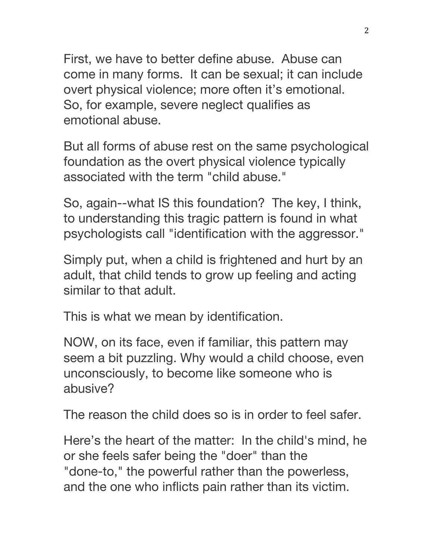First, we have to better define abuse. Abuse can come in many forms. It can be sexual; it can include overt physical violence; more often it's emotional. So, for example, severe neglect qualifies as emotional abuse.

But all forms of abuse rest on the same psychological foundation as the overt physical violence typically associated with the term "child abuse."

So, again--what IS this foundation? The key, I think, to understanding this tragic pattern is found in what psychologists call "identification with the aggressor."

Simply put, when a child is frightened and hurt by an adult, that child tends to grow up feeling and acting similar to that adult.

This is what we mean by identification.

NOW, on its face, even if familiar, this pattern may seem a bit puzzling. Why would a child choose, even unconsciously, to become like someone who is abusive?

The reason the child does so is in order to feel safer.

Here's the heart of the matter: In the child's mind, he or she feels safer being the "doer" than the "done-to," the powerful rather than the powerless, and the one who inflicts pain rather than its victim.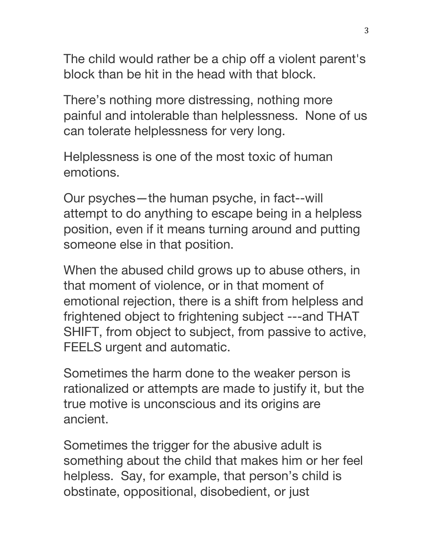The child would rather be a chip off a violent parent's block than be hit in the head with that block.

There's nothing more distressing, nothing more painful and intolerable than helplessness. None of us can tolerate helplessness for very long.

Helplessness is one of the most toxic of human emotions.

Our psyches—the human psyche, in fact--will attempt to do anything to escape being in a helpless position, even if it means turning around and putting someone else in that position.

When the abused child grows up to abuse others, in that moment of violence, or in that moment of emotional rejection, there is a shift from helpless and frightened object to frightening subject ---and THAT SHIFT, from object to subject, from passive to active, FEELS urgent and automatic.

Sometimes the harm done to the weaker person is rationalized or attempts are made to justify it, but the true motive is unconscious and its origins are ancient.

Sometimes the trigger for the abusive adult is something about the child that makes him or her feel helpless. Say, for example, that person's child is obstinate, oppositional, disobedient, or just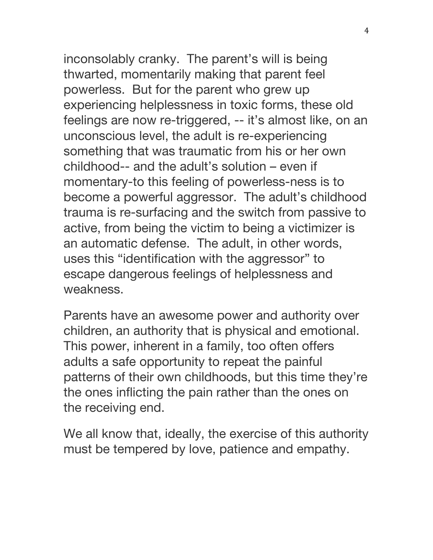inconsolably cranky. The parent's will is being thwarted, momentarily making that parent feel powerless. But for the parent who grew up experiencing helplessness in toxic forms, these old feelings are now re-triggered, -- it's almost like, on an unconscious level, the adult is re-experiencing something that was traumatic from his or her own childhood-- and the adult's solution – even if momentary-to this feeling of powerless-ness is to become a powerful aggressor. The adult's childhood trauma is re-surfacing and the switch from passive to active, from being the victim to being a victimizer is an automatic defense. The adult, in other words, uses this "identification with the aggressor" to escape dangerous feelings of helplessness and weakness.

Parents have an awesome power and authority over children, an authority that is physical and emotional. This power, inherent in a family, too often offers adults a safe opportunity to repeat the painful patterns of their own childhoods, but this time they're the ones inflicting the pain rather than the ones on the receiving end.

We all know that, ideally, the exercise of this authority must be tempered by love, patience and empathy.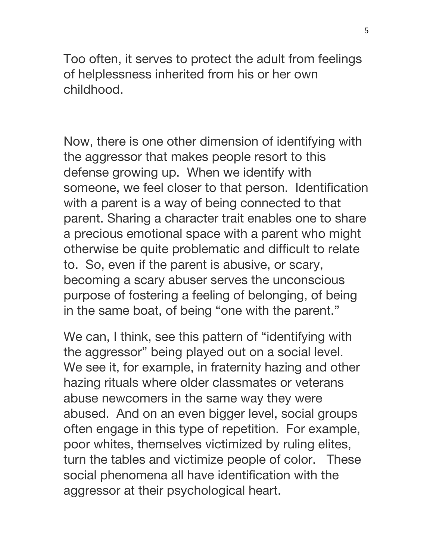Too often, it serves to protect the adult from feelings of helplessness inherited from his or her own childhood.

Now, there is one other dimension of identifying with the aggressor that makes people resort to this defense growing up. When we identify with someone, we feel closer to that person. Identification with a parent is a way of being connected to that parent. Sharing a character trait enables one to share a precious emotional space with a parent who might otherwise be quite problematic and difficult to relate to. So, even if the parent is abusive, or scary, becoming a scary abuser serves the unconscious purpose of fostering a feeling of belonging, of being in the same boat, of being "one with the parent."

We can, I think, see this pattern of "identifying with the aggressor" being played out on a social level. We see it, for example, in fraternity hazing and other hazing rituals where older classmates or veterans abuse newcomers in the same way they were abused. And on an even bigger level, social groups often engage in this type of repetition. For example, poor whites, themselves victimized by ruling elites, turn the tables and victimize people of color. These social phenomena all have identification with the aggressor at their psychological heart.